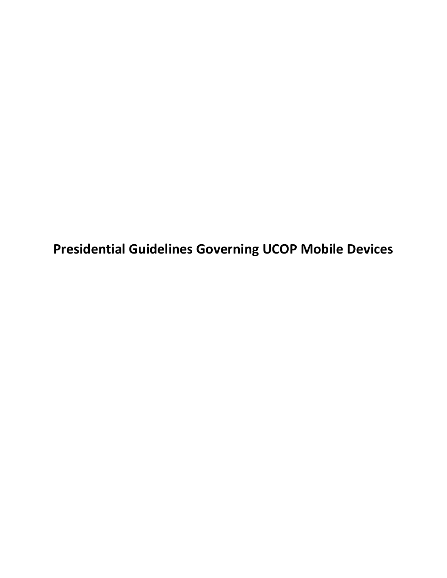**Presidential Guidelines Governing UCOP Mobile Devices**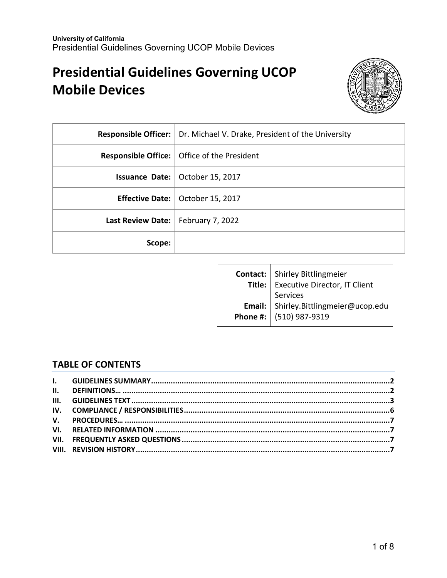# **Presidential Guidelines Governing UCOP Mobile Devices**



|                                      | <b>Responsible Officer:</b>   Dr. Michael V. Drake, President of the University |
|--------------------------------------|---------------------------------------------------------------------------------|
|                                      | <b>Responsible Office:</b>   Office of the President                            |
|                                      | <b>Issuance Date:</b> $\vert$ October 15, 2017                                  |
|                                      | <b>Effective Date:</b>   October 15, 2017                                       |
| Last Review Date:   February 7, 2022 |                                                                                 |
| Scope:                               |                                                                                 |

| <b>Contact:</b> Shirley Bittlingmeier<br>Executive Director, IT Client<br>Services<br>Email: Shirley.Bittlingmeier@ucop.edu<br>Phone #: (510) 987-9319 |  |
|--------------------------------------------------------------------------------------------------------------------------------------------------------|--|
|                                                                                                                                                        |  |
|                                                                                                                                                        |  |
|                                                                                                                                                        |  |
|                                                                                                                                                        |  |

## **TABLE OF CONTENTS**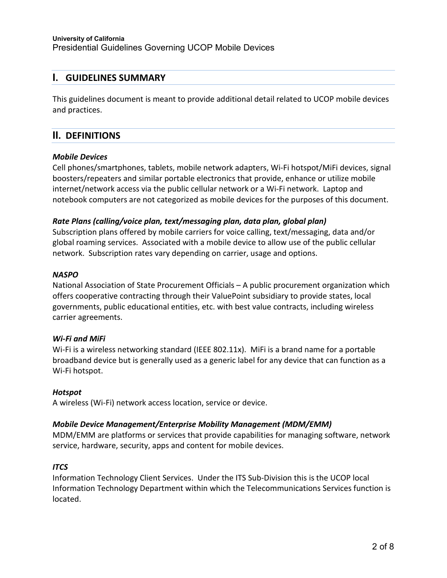## **I. GUIDELINES SUMMARY**

This guidelines document is meant to provide additional detail related to UCOP mobile devices and practices.

## **II. DEFINITIONS**

#### *Mobile Devices*

Cell phones/smartphones, tablets, mobile network adapters, Wi-Fi hotspot/MiFi devices, signal boosters/repeaters and similar portable electronics that provide, enhance or utilize mobile internet/network access via the public cellular network or a Wi-Fi network. Laptop and notebook computers are not categorized as mobile devices for the purposes of this document.

#### *Rate Plans (calling/voice plan, text/messaging plan, data plan, global plan)*

Subscription plans offered by mobile carriers for voice calling, text/messaging, data and/or global roaming services. Associated with a mobile device to allow use of the public cellular network. Subscription rates vary depending on carrier, usage and options.

#### *NASPO*

National Association of State Procurement Officials – A public procurement organization which offers cooperative contracting through their ValuePoint subsidiary to provide states, local governments, public educational entities, etc. with best value contracts, including wireless carrier agreements.

#### *Wi-Fi and MiFi*

Wi-Fi is a wireless networking standard (IEEE 802.11x). MiFi is a brand name for a portable broadband device but is generally used as a generic label for any device that can function as a Wi-Fi hotspot.

#### *Hotspot*

A wireless (Wi-Fi) network access location, service or device.

#### *Mobile Device Management/Enterprise Mobility Management (MDM/EMM)*

MDM/EMM are platforms or services that provide capabilities for managing software, network service, hardware, security, apps and content for mobile devices.

#### *ITCS*

Information Technology Client Services. Under the ITS Sub-Division this is the UCOP local Information Technology Department within which the Telecommunications Services function is located.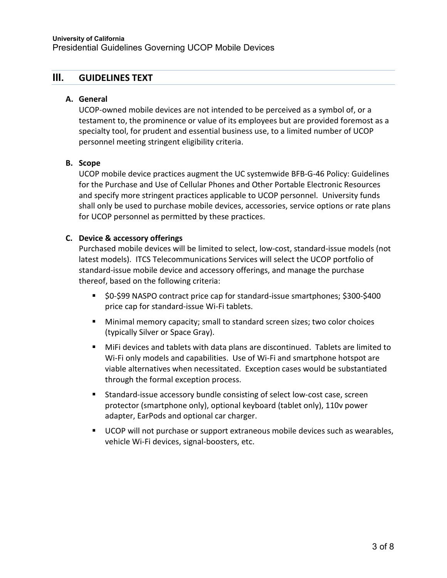## **III. GUIDELINES TEXT**

#### **A. General**

UCOP-owned mobile devices are not intended to be perceived as a symbol of, or a testament to, the prominence or value of its employees but are provided foremost as a specialty tool, for prudent and essential business use, to a limited number of UCOP personnel meeting stringent eligibility criteria.

#### **B. Scope**

UCOP mobile device practices augment the UC systemwide BFB-G-46 Policy: Guidelines for the Purchase and Use of Cellular Phones and Other Portable Electronic Resources and specify more stringent practices applicable to UCOP personnel. University funds shall only be used to purchase mobile devices, accessories, service options or rate plans for UCOP personnel as permitted by these practices.

### **C. Device & accessory offerings**

Purchased mobile devices will be limited to select, low-cost, standard-issue models (not latest models). ITCS Telecommunications Services will select the UCOP portfolio of standard-issue mobile device and accessory offerings, and manage the purchase thereof, based on the following criteria:

- \$0-\$99 NASPO contract price cap for standard-issue smartphones; \$300-\$400 price cap for standard-issue Wi-Fi tablets.
- Minimal memory capacity; small to standard screen sizes; two color choices (typically Silver or Space Gray).
- MiFi devices and tablets with data plans are discontinued. Tablets are limited to Wi-Fi only models and capabilities. Use of Wi-Fi and smartphone hotspot are viable alternatives when necessitated. Exception cases would be substantiated through the formal exception process.
- Standard-issue accessory bundle consisting of select low-cost case, screen protector (smartphone only), optional keyboard (tablet only), 110v power adapter, EarPods and optional car charger.
- UCOP will not purchase or support extraneous mobile devices such as wearables, vehicle Wi-Fi devices, signal-boosters, etc.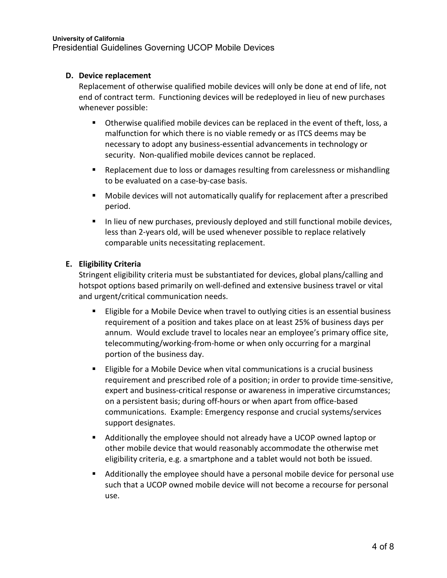#### **D. Device replacement**

Replacement of otherwise qualified mobile devices will only be done at end of life, not end of contract term. Functioning devices will be redeployed in lieu of new purchases whenever possible:

- Otherwise qualified mobile devices can be replaced in the event of theft, loss, a malfunction for which there is no viable remedy or as ITCS deems may be necessary to adopt any business-essential advancements in technology or security. Non-qualified mobile devices cannot be replaced.
- **Replacement due to loss or damages resulting from carelessness or mishandling** to be evaluated on a case-by-case basis.
- Mobile devices will not automatically qualify for replacement after a prescribed period.
- In lieu of new purchases, previously deployed and still functional mobile devices, less than 2-years old, will be used whenever possible to replace relatively comparable units necessitating replacement.

### **E. Eligibility Criteria**

Stringent eligibility criteria must be substantiated for devices, global plans/calling and hotspot options based primarily on well-defined and extensive business travel or vital and urgent/critical communication needs.

- **Eligible for a Mobile Device when travel to outlying cities is an essential business** requirement of a position and takes place on at least 25% of business days per annum. Would exclude travel to locales near an employee's primary office site, telecommuting/working-from-home or when only occurring for a marginal portion of the business day.
- **Eligible for a Mobile Device when vital communications is a crucial business** requirement and prescribed role of a position; in order to provide time-sensitive, expert and business-critical response or awareness in imperative circumstances; on a persistent basis; during off-hours or when apart from office-based communications. Example: Emergency response and crucial systems/services support designates.
- Additionally the employee should not already have a UCOP owned laptop or other mobile device that would reasonably accommodate the otherwise met eligibility criteria, e.g. a smartphone and a tablet would not both be issued.
- Additionally the employee should have a personal mobile device for personal use such that a UCOP owned mobile device will not become a recourse for personal use.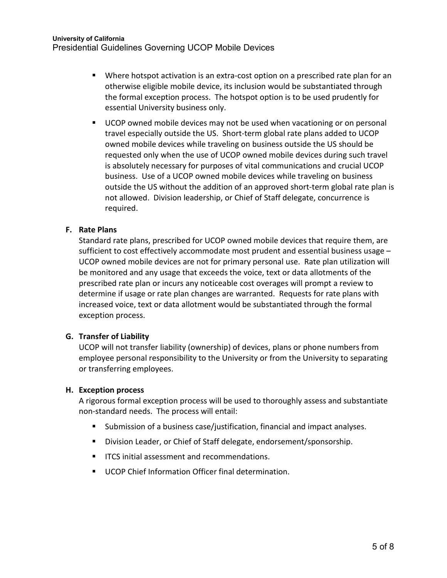- Where hotspot activation is an extra-cost option on a prescribed rate plan for an otherwise eligible mobile device, its inclusion would be substantiated through the formal exception process. The hotspot option is to be used prudently for essential University business only.
- UCOP owned mobile devices may not be used when vacationing or on personal travel especially outside the US. Short-term global rate plans added to UCOP owned mobile devices while traveling on business outside the US should be requested only when the use of UCOP owned mobile devices during such travel is absolutely necessary for purposes of vital communications and crucial UCOP business. Use of a UCOP owned mobile devices while traveling on business outside the US without the addition of an approved short-term global rate plan is not allowed. Division leadership, or Chief of Staff delegate, concurrence is required.

### **F. Rate Plans**

Standard rate plans, prescribed for UCOP owned mobile devices that require them, are sufficient to cost effectively accommodate most prudent and essential business usage – UCOP owned mobile devices are not for primary personal use. Rate plan utilization will be monitored and any usage that exceeds the voice, text or data allotments of the prescribed rate plan or incurs any noticeable cost overages will prompt a review to determine if usage or rate plan changes are warranted. Requests for rate plans with increased voice, text or data allotment would be substantiated through the formal exception process.

#### **G. Transfer of Liability**

UCOP will not transfer liability (ownership) of devices, plans or phone numbers from employee personal responsibility to the University or from the University to separating or transferring employees.

#### **H. Exception process**

A rigorous formal exception process will be used to thoroughly assess and substantiate non-standard needs. The process will entail:

- Submission of a business case/justification, financial and impact analyses.
- **Division Leader, or Chief of Staff delegate, endorsement/sponsorship.**
- **IFCS initial assessment and recommendations.**
- **UCOP Chief Information Officer final determination.**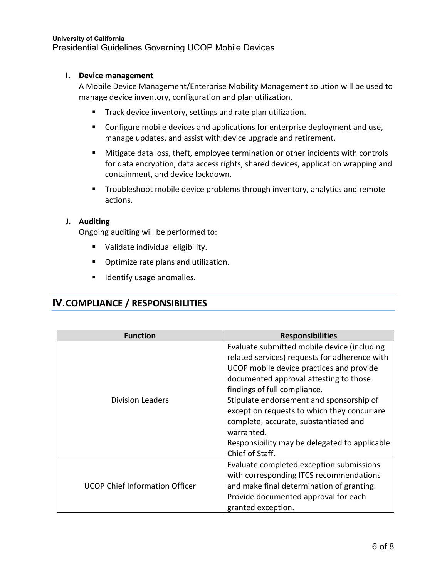#### **I. Device management**

A Mobile Device Management/Enterprise Mobility Management solution will be used to manage device inventory, configuration and plan utilization.

- **Track device inventory, settings and rate plan utilization.**
- **Configure mobile devices and applications for enterprise deployment and use,** manage updates, and assist with device upgrade and retirement.
- Mitigate data loss, theft, employee termination or other incidents with controls for data encryption, data access rights, shared devices, application wrapping and containment, and device lockdown.
- **Troubleshoot mobile device problems through inventory, analytics and remote** actions.

### **J. Auditing**

Ongoing auditing will be performed to:

- **Validate individual eligibility.**
- **•** Optimize rate plans and utilization.
- **If Identify usage anomalies.**

## **IV. COMPLIANCE / RESPONSIBILITIES**

| <b>Function</b>                       | <b>Responsibilities</b>                                                                                                                                                                                                                                                                                                                                                                                                                  |
|---------------------------------------|------------------------------------------------------------------------------------------------------------------------------------------------------------------------------------------------------------------------------------------------------------------------------------------------------------------------------------------------------------------------------------------------------------------------------------------|
| <b>Division Leaders</b>               | Evaluate submitted mobile device (including<br>related services) requests for adherence with<br>UCOP mobile device practices and provide<br>documented approval attesting to those<br>findings of full compliance.<br>Stipulate endorsement and sponsorship of<br>exception requests to which they concur are<br>complete, accurate, substantiated and<br>warranted.<br>Responsibility may be delegated to applicable<br>Chief of Staff. |
| <b>UCOP Chief Information Officer</b> | Evaluate completed exception submissions<br>with corresponding ITCS recommendations<br>and make final determination of granting.<br>Provide documented approval for each<br>granted exception.                                                                                                                                                                                                                                           |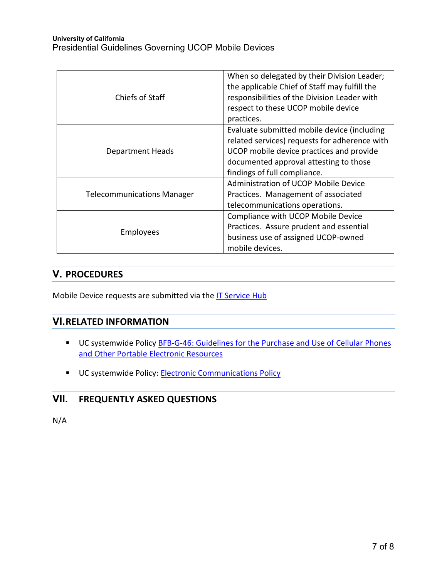| Chiefs of Staff                   | When so delegated by their Division Leader;<br>the applicable Chief of Staff may fulfill the<br>responsibilities of the Division Leader with<br>respect to these UCOP mobile device<br>practices.                  |
|-----------------------------------|--------------------------------------------------------------------------------------------------------------------------------------------------------------------------------------------------------------------|
| Department Heads                  | Evaluate submitted mobile device (including<br>related services) requests for adherence with<br>UCOP mobile device practices and provide<br>documented approval attesting to those<br>findings of full compliance. |
| <b>Telecommunications Manager</b> | Administration of UCOP Mobile Device<br>Practices. Management of associated<br>telecommunications operations.                                                                                                      |
| <b>Employees</b>                  | Compliance with UCOP Mobile Device<br>Practices. Assure prudent and essential<br>business use of assigned UCOP-owned<br>mobile devices.                                                                            |

# **V. PROCEDURES**

Mobile Device requests are submitted via the [IT Service Hub](https://ucop.service-now.com/)

## **VI.RELATED INFORMATION**

- UC systemwide Policy **BFB-G-46: Guidelines for the Purchase and Use of Cellular Phones** [and Other Portable Electronic](http://policy.ucop.edu/doc/3420357/BFB-G-46) Resources
- UC systemwide Policy: [Electronic Communications Policy](http://policy.ucop.edu/doc/7000470/ElectronicCommunications)

# **VII. FREQUENTLY ASKED QUESTIONS**

N/A